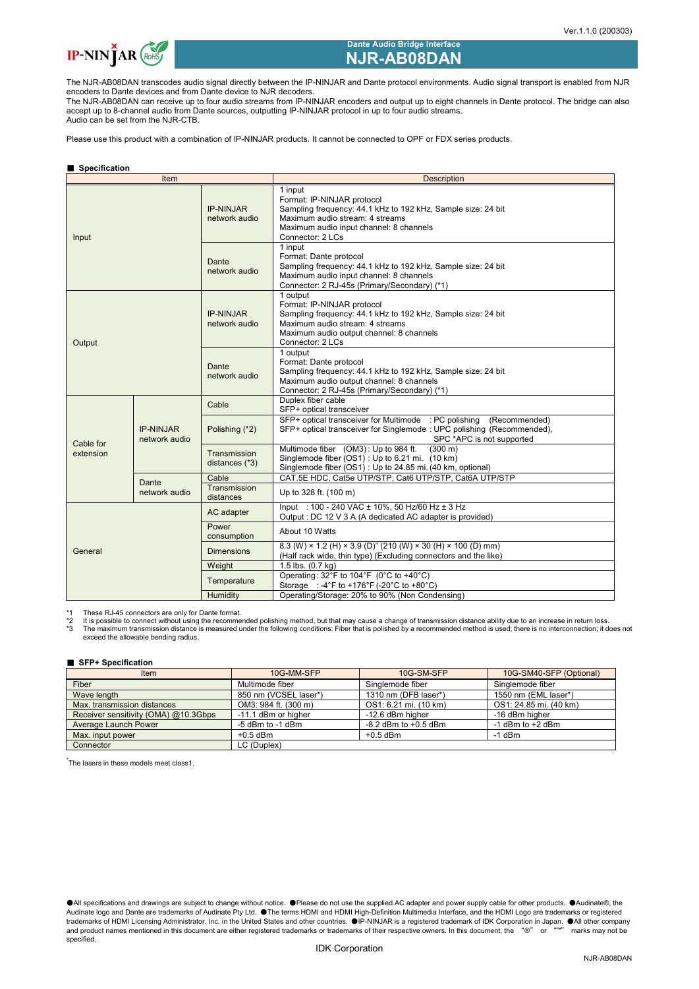

# **Dante Audio Bridge Interface NJR-AB08DAN**

The NJR-AB08DAN transcodes audio signal directly between the IP-NINJAR and Dante protocol environments. Audio signal transport is enabled from NJR encoders to Dante devices and from Dante device to NJR decoders.

The NJR-AB08DAN can receive up to four audio streams from IP-NINJAR encoders and output up to eight channels in Dante protocol. The bridge can also accept up to 8-channel audio from Dante sources, outputting IP-NINJAR protocol in up to four audio streams. Audio can be set from the NJR-CTB.

Please use this product with a combination of IP-NINJAR products. It cannot be connected to OPF or FDX series products.

# ■ **Specification**

| Item                   |                                   |                                    | <b>Description</b>                                                                                                                                                                                        |  |  |  |
|------------------------|-----------------------------------|------------------------------------|-----------------------------------------------------------------------------------------------------------------------------------------------------------------------------------------------------------|--|--|--|
| Input                  |                                   | <b>IP-NINJAR</b><br>network audio  | 1 input<br>Format: IP-NINJAR protocol<br>Sampling frequency: 44.1 kHz to 192 kHz, Sample size: 24 bit<br>Maximum audio stream: 4 streams<br>Maximum audio input channel: 8 channels<br>Connector: 2 LCs   |  |  |  |
|                        |                                   | Dante<br>network audio             | 1 input<br>Format: Dante protocol<br>Sampling frequency: 44.1 kHz to 192 kHz, Sample size: 24 bit<br>Maximum audio input channel: 8 channels<br>Connector: 2 RJ-45s (Primary/Secondary) (*1)              |  |  |  |
| Output                 |                                   | <b>IP-NINJAR</b><br>network audio  | 1 output<br>Format: IP-NINJAR protocol<br>Sampling frequency: 44.1 kHz to 192 kHz, Sample size: 24 bit<br>Maximum audio stream: 4 streams<br>Maximum audio output channel: 8 channels<br>Connector: 2 LCs |  |  |  |
|                        |                                   | Dante<br>network audio             | 1 output<br>Format: Dante protocol<br>Sampling frequency: 44.1 kHz to 192 kHz, Sample size: 24 bit<br>Maximum audio output channel: 8 channels<br>Connector: 2 RJ-45s (Primary/Secondary) (*1)            |  |  |  |
| Cable for<br>extension | <b>IP-NINJAR</b><br>network audio | Cable                              | Duplex fiber cable<br>SFP+ optical transceiver                                                                                                                                                            |  |  |  |
|                        |                                   | Polishing (*2)                     | SFP+ optical transceiver for Multimode : PC polishing<br>(Recommended)<br>SFP+ optical transceiver for Singlemode: UPC polishing (Recommended),<br>SPC *APC is not supported                              |  |  |  |
|                        |                                   | Transmission<br>distances (*3)     | Multimode fiber (OM3): Up to 984 ft.<br>$(300 \text{ m})$<br>Singlemode fiber (OS1) : Up to 6.21 mi. (10 km)<br>Singlemode fiber (OS1) : Up to 24.85 mi. (40 km, optional)                                |  |  |  |
|                        | Dante<br>network audio            | Cable<br>Transmission<br>distances | CAT.5E HDC, Cat5e UTP/STP, Cat6 UTP/STP, Cat6A UTP/STP<br>Up to 328 ft. (100 m)                                                                                                                           |  |  |  |
| General                |                                   | AC adapter                         | lnput: 100 - 240 VAC ± 10%, 50 Hz/60 Hz ± 3 Hz<br>Output: DC 12 V 3 A (A dedicated AC adapter is provided)                                                                                                |  |  |  |
|                        |                                   | Power<br>consumption               | About 10 Watts                                                                                                                                                                                            |  |  |  |
|                        |                                   | <b>Dimensions</b>                  | 8.3 (W) × 1.2 (H) × 3.9 (D)" (210 (W) × 30 (H) × 100 (D) mm)<br>(Half rack wide, thin type) (Excluding connectors and the like)                                                                           |  |  |  |
|                        |                                   | Weight                             | 1.5 lbs. $(0.7 \text{ kg})$                                                                                                                                                                               |  |  |  |
|                        |                                   | Temperature                        | Operating: 32°F to 104°F (0°C to +40°C)<br>Storage : -4°F to +176°F (-20°C to +80°C)                                                                                                                      |  |  |  |
|                        |                                   | Humidity                           | Operating/Storage: 20% to 90% (Non Condensing)                                                                                                                                                            |  |  |  |

\*1 These RJ-45 connectors are only for Dante format.

\*2 It is possible to connect without using the recommended polishing method, but that may cause a change of transmission distance ability due to an increase in return loss.<br>\*3 The maximum transmission distance is measure

# ■ **SFP+ Specification**

| <b>Item</b>                          | 10G-MM-SFP            | 10G-SM-SFP               | 10G-SM40-SFP (Optional) |
|--------------------------------------|-----------------------|--------------------------|-------------------------|
| Fiber                                | Multimode fiber       | Singlemode fiber         | Singlemode fiber        |
| Wave length                          | 850 nm (VCSEL laser*) | 1310 nm (DFB laser*)     | 1550 nm (EML laser*)    |
| Max. transmission distances          | OM3: 984 ft. (300 m)  | OS1: 6.21 mi. (10 km)    | OS1: 24.85 mi. (40 km)  |
| Receiver sensitivity (OMA) @10.3Gbps | -11.1 dBm or higher   | -12.6 dBm higher         | -16 dBm higher          |
| Average Launch Power                 | -5 dBm to -1 dBm      | $-8.2$ dBm to $+0.5$ dBm | $-1$ dBm to $+2$ dBm    |
| Max. input power                     | $+0.5$ dBm            | $+0.5$ dBm               | $-1$ dBm                |
| Connector                            | LC (Duplex)           |                          |                         |

\* The lasers in these models meet class1.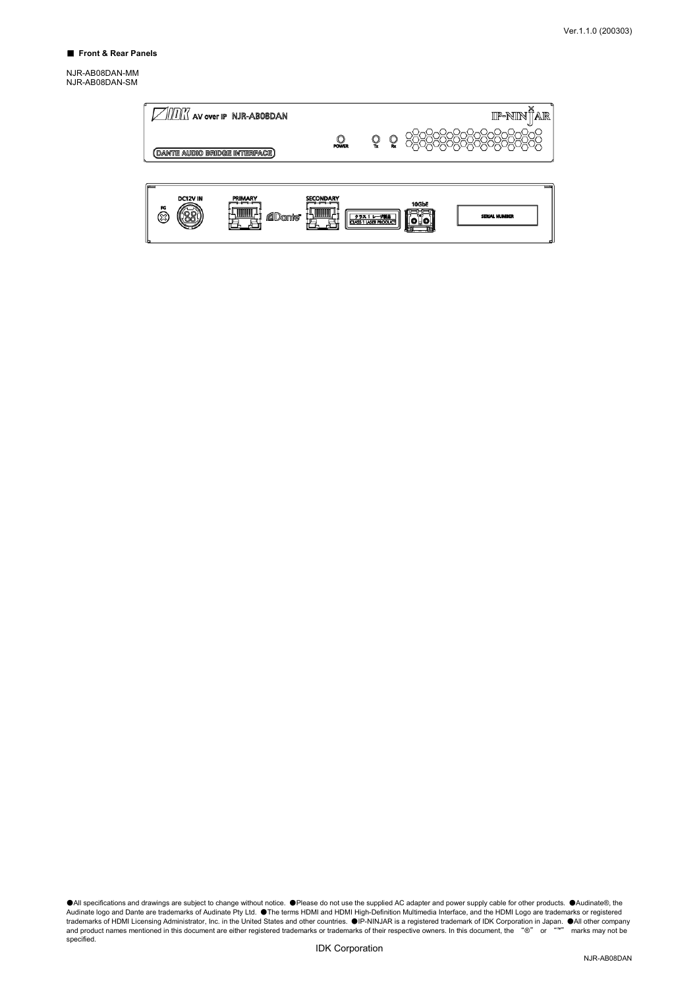NJR-AB08DAN-MM NJR-AB08DAN-SM

| $\sqrt{\text{max}}$ av over ip $\overline{\text{ NIR-AB08DAN}}$<br>(DANTE AUDIO BRIDGE INTERFACE) | <b>POWER</b>     | ួ                                          | ួ | x<br>IP-NIN ÎAR               |
|---------------------------------------------------------------------------------------------------|------------------|--------------------------------------------|---|-------------------------------|
| DC12V IN<br>PRIMARY<br>FG<br><b>ADanie</b><br>જી                                                  | <b>SECONDARY</b> | クラス 1レーザ製品<br><b>CLASS 1 LASER PRODUCT</b> |   | 10GbE<br><b>SERIAL NUMBER</b> |

●All specifications and drawings are subject to change without notice. ●Please do not use the supplied AC adapter and power supply cable for other products. ●Audinate®, the<br>Audinate logo and Dante are trademarks of Audina specified.